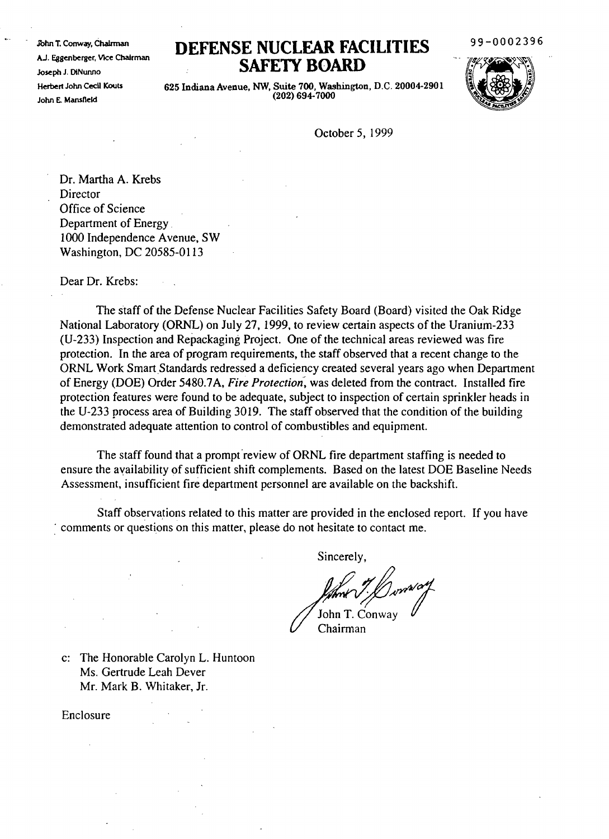.fuhn T. Conway, ChaIrman AJ. Eggenberger, VIce Chairman Joseph J. DiNunno Herbert John Cecil Kouts John E. Mansfield

## **DEFENSE NUCLEAR FACILITIES SAFElY BOARD**

99-0002396



625 Indiana Avenue, NW, Suite 700, Washington, D.C. 20004-2901 (202) 694-7000

October 5, 1999

Dr. Martha A. Krebs Director Office of Science Department of Energy. 1000 Independence Avenue, SW Washington, DC 20585-0113

Dear Dr. Krebs:

The staff of the Defense Nuclear Facilities Safety Board (Board) visited the Oak Ridge National Laboratory (ORNL) on July 27, 1999, to review certain aspects of the Uranium-233 (U-233) Inspection and Repackaging Project. One of the technical areas reviewed was fire protection. In the area of program requirements, the staff observed that a recent change to the ORNL Work Smart Standards redressed a deficiency created several years ago when Department of Energy (DOE) Order 5480.7A, *Fire Protection:* was deleted from the contract. Installed fire protection features were found to be adequate, subject to inspection of certain sprinkler heads in the U-233 process area of Building 3019. The staff observed that the condition of the building demonstrated adequate attention to control of combustibles and equipment.

The staff found that a prompt review of ORNL fire department staffing is needed to ensure the availability of sufficient shift complements. Based on the latest DOE Baseline Needs Assessment, insufficient fire department personnel are available on the backshift.

Staff observations related to this matter are provided in the enclosed report. If you have : comments or questions on this matter, please do not hesitate to contact me.

Sincerely,

John T. Conward

c: The Honorable Carolyn L. Huntoon Ms. Gertrude Leah Dever Mr. Mark B. Whitaker, Jr.

Enclosure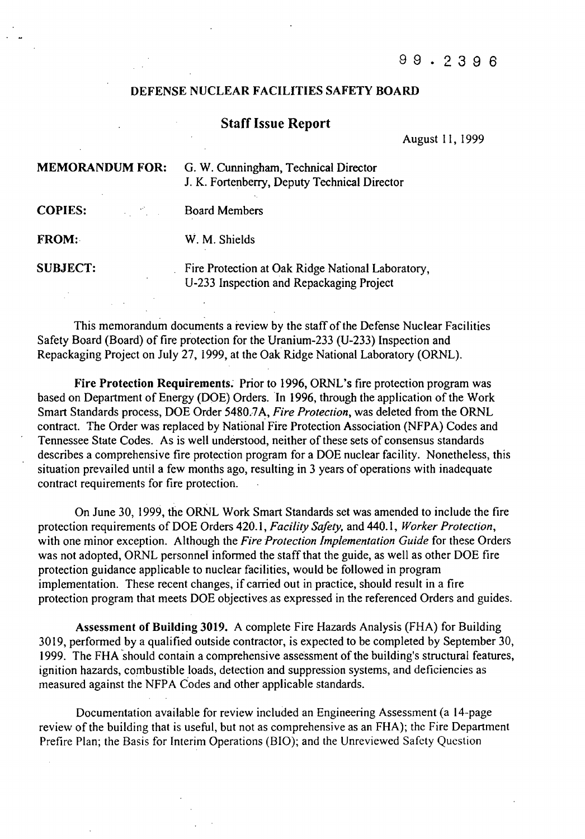## DEFENSE NUCLEAR FACILITIES SAFETY BOARD

## Staff Issue Report

August 11, 1999

| <b>MEMORANDUM FOR:</b> | G. W. Cunningham, Technical Director<br>J. K. Fortenberry, Deputy Technical Director          |
|------------------------|-----------------------------------------------------------------------------------------------|
| <b>COPIES:</b>         | <b>Board Members</b>                                                                          |
| <b>FROM:</b>           | W. M. Shields                                                                                 |
| <b>SUBJECT:</b>        | Fire Protection at Oak Ridge National Laboratory,<br>U-233 Inspection and Repackaging Project |

This memorandum documents a review by the staffofthe Defense Nuclear Facilities Safety Board (Board) of fire protection for the Uranium-233 (U-233) Inspection and Repackaging Project on July 27, 1999, at the Oak Ridge National Laboratory (ORNL).

Fire Protection Requirements. Prior to 1996, ORNL's fire protection program was based on Department of Energy (DOE) Orders. In 1996, through the application of the Work Smart Standards process, DOE Order 5480.7A, *Fire Protecrion,* was deleted from the ORNL contract. The Order was replaced by National Fire Protection Association (NFPA) Codes and Tennessee State Codes. As is well understood, neither of these sets of consensus standards describes a comprehensive fire protection program for a DOE nuclear facility. Nonetheless, this situation prevailed until a few months ago, resulting in 3 years of operations with inadequate contract requirements for fire protection.

On June 30, 1999, the ORNL Work Smart Standards set was amended to include the fire protection requirements of DOE Orders 420.1, *Facility Safety,* and 440.1, *Worker Protection,* with one minor exception. Although the *Fire Protection Implementation Guide* for these Orders was not adopted, ORNL personnel informed the staff that the guide, as well as other DOE fire protection guidance applicable to nuclear facilities, would be followed in program implementation. These recent changes, if carried out in practice, should result in a fire protection program that meets DOE objectives as expressed in the referenced Orders and guides.

Assessment of Building 3019. A complete Fire Hazards Analysis (FHA) for Building 3019, perfonned by a qualified outside contractor, is expected to be completed by September 30, 1999. The FHA should contain a comprehensive assessment of the building's structural features, ignition hazards, combustible loads, detection and suppression systems, and deficiencies as measured against the NFPA Codes and other applicable standards.

Documentation available for review included an Engineering Assessment (a 14-page review of the building that is useful, but not as comprehensive as an FHA); the Fire Department Prefire Plan; the Basis for Interim Operations (BIO); and the Unreviewed Safety Question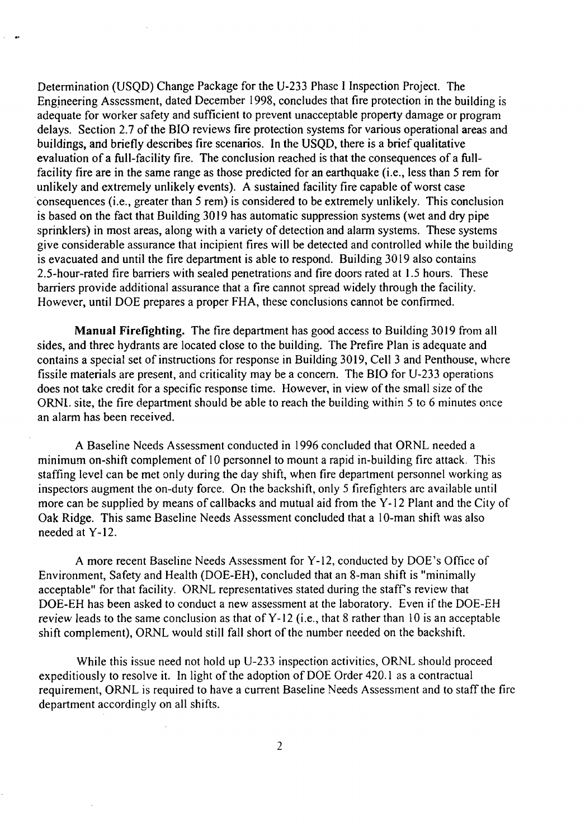Determination (USQD) Change Package for the U-233 Phase I Inspection Project. The Engineering Assessment, dated December 1998, concludes that fire protection in the building is adequate for worker safety and sufficient to prevent unacceptable property damage or program delays. Section 2.7 of the BIO reviews fire protection systems for various operational areas and buildings, and briefly describes fire scenarios. In the USQD, there is a brief qualitative evaluation of a full-facility fire. The conclusion reached is that the consequences of a fullfacility fire are in the same range as those predicted for an earthquake (i.e., less than 5 rem for unlikely and extremely unlikely events). A sustained facility fire capable of worst case consequences (i.e., greater than 5 rem) is considered to be extremely unlikely. This conclusion is based on the fact that Building 3019 has automatic suppression systems (wet and dry pipe sprinklers) in most areas, along with a variety of detection and alarm systems. These systems give considerable assurance that incipient fires will be detected and controlled while the building is evacuated and until the fire department is able to respond. Building 3019 also contains 2.5-hour-rated fire barriers with sealed penetrations and fire doors rated at 1.5 hours. These barriers provide additional assurance that a fire cannot spread widely through the facility. However, until DOE prepares a proper FHA, these conclusions cannot be confirmed.

**Manual Firefighting.** The fire department has good access to Building 3019 from all sides, and three hydrants are located close to the building. The Prefire Plan is adequate and contains a special set of instructions for response in Building 3019, Cell 3 and Penthouse, where fissile materials are present, and criticality may be a concern. The BIO for U-233 operations does not take credit for a specific response time. However, in view of the small size of the ORNL site, the fire department should be able to reach the building within 5 to 6 minutes once an alarm has been received.

A Baseline Needs Assessment conducted in 1996 concluded that ORNL needed a minimum on-shift complement of 10 personnel to mount a rapid in-building fire attack. This staffing level can be met only during the day shift, when fire department personnel working as inspectors augment the on-duty force. On the backshift, only 5 firefighters are available until more can be supplied by means of callbacks and mutual aid from the Y-12 Plant and the City of Oak Ridge. This same Baseline Needs Assessment concluded that a 10-man shift was also needed at Y-12.

A more recent Baseline Needs Assessment for Y-12, conducted by DOE's Office of Environment, Safety and Health (DOE-EH), concluded that an 8-man shift is "minimally acceptable" for that facility. ORNL representatives stated during the staff's review that DOE-EH has been asked to conduct a new assessment at the laboratory. Even if the DOE-EH review leads to the same conclusion as that of Y-12 (i.e., that 8 rather than 10 is an acceptable shift complement), ORNL would still fall short of the number needed on the backshift.

While this issue need not hold up U-233 inspection activities, ORNL should proceed expeditiously to resolve it. In light of the adoption of DOE Order 420.1 as a contractual requirement, ORNL is required to have a current Baseline Needs Assessment and to staff the fire department accordingly on all shifts.